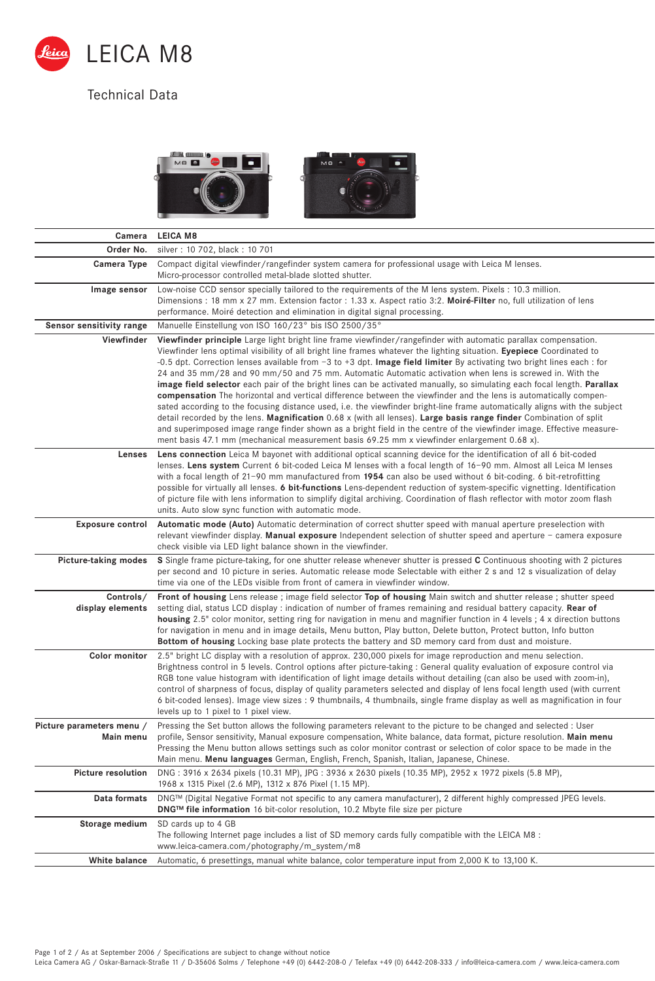

## Technical Data



| Camera                                 | <b>LEICA M8</b>                                                                                                                                                                                                                                                                                                                                                                                                                                                                                                                                                                                                                                                                                                                                                                                                                                                                                                                                                                                                                                                                                                                                                                                                             |
|----------------------------------------|-----------------------------------------------------------------------------------------------------------------------------------------------------------------------------------------------------------------------------------------------------------------------------------------------------------------------------------------------------------------------------------------------------------------------------------------------------------------------------------------------------------------------------------------------------------------------------------------------------------------------------------------------------------------------------------------------------------------------------------------------------------------------------------------------------------------------------------------------------------------------------------------------------------------------------------------------------------------------------------------------------------------------------------------------------------------------------------------------------------------------------------------------------------------------------------------------------------------------------|
| Order No.                              | silver: 10 702, black: 10 701                                                                                                                                                                                                                                                                                                                                                                                                                                                                                                                                                                                                                                                                                                                                                                                                                                                                                                                                                                                                                                                                                                                                                                                               |
| Camera Type                            | Compact digital viewfinder/rangefinder system camera for professional usage with Leica M lenses.<br>Micro-processor controlled metal-blade slotted shutter.                                                                                                                                                                                                                                                                                                                                                                                                                                                                                                                                                                                                                                                                                                                                                                                                                                                                                                                                                                                                                                                                 |
| Image sensor                           | Low-noise CCD sensor specially tailored to the requirements of the M lens system. Pixels: 10.3 million.<br>Dimensions: 18 mm x 27 mm. Extension factor: 1.33 x. Aspect ratio 3:2. Moiré-Filter no, full utilization of lens<br>performance. Moiré detection and elimination in digital signal processing.                                                                                                                                                                                                                                                                                                                                                                                                                                                                                                                                                                                                                                                                                                                                                                                                                                                                                                                   |
| Sensor sensitivity range               | Manuelle Einstellung von ISO 160/23° bis ISO 2500/35°                                                                                                                                                                                                                                                                                                                                                                                                                                                                                                                                                                                                                                                                                                                                                                                                                                                                                                                                                                                                                                                                                                                                                                       |
| Viewfinder                             | Viewfinder principle Large light bright line frame viewfinder/rangefinder with automatic parallax compensation.<br>Viewfinder lens optimal visibility of all bright line frames whatever the lighting situation. Eyepiece Coordinated to<br>-0.5 dpt. Correction lenses available from $-3$ to $+3$ dpt. <b>Image field limiter</b> By activating two bright lines each : for<br>24 and 35 mm/28 and 90 mm/50 and 75 mm. Automatic Automatic activation when lens is screwed in. With the<br>image field selector each pair of the bright lines can be activated manually, so simulating each focal length. Parallax<br>compensation The horizontal and vertical difference between the viewfinder and the lens is automatically compen-<br>sated according to the focusing distance used, i.e. the viewfinder bright-line frame automatically aligns with the subject<br>detail recorded by the lens. Magnification $0.68 \times$ (with all lenses). Large basis range finder Combination of split<br>and superimposed image range finder shown as a bright field in the centre of the viewfinder image. Effective measure-<br>ment basis 47.1 mm (mechanical measurement basis 69.25 mm x viewfinder enlargement 0.68 x). |
| Lenses                                 | Lens connection Leica M bayonet with additional optical scanning device for the identification of all 6 bit-coded<br>lenses. Lens system Current 6 bit-coded Leica M lenses with a focal length of 16-90 mm. Almost all Leica M lenses<br>with a focal length of 21-90 mm manufactured from 1954 can also be used without 6 bit-coding. 6 bit-retrofitting<br>possible for virtually all lenses. 6 bit-functions Lens-dependent reduction of system-specific vignetting. Identification<br>of picture file with lens information to simplify digital archiving. Coordination of flash reflector with motor zoom flash<br>units. Auto slow sync function with automatic mode.                                                                                                                                                                                                                                                                                                                                                                                                                                                                                                                                                |
| <b>Exposure control</b>                | Automatic mode (Auto) Automatic determination of correct shutter speed with manual aperture preselection with<br>relevant viewfinder display. Manual exposure Independent selection of shutter speed and aperture - camera exposure<br>check visible via LED light balance shown in the viewfinder.                                                                                                                                                                                                                                                                                                                                                                                                                                                                                                                                                                                                                                                                                                                                                                                                                                                                                                                         |
| Picture-taking modes                   | S Single frame picture-taking, for one shutter release whenever shutter is pressed C Continuous shooting with 2 pictures<br>per second and 10 picture in series. Automatic release mode Selectable with either 2 s and 12 s visualization of delay<br>time via one of the LEDs visible from front of camera in viewfinder window.                                                                                                                                                                                                                                                                                                                                                                                                                                                                                                                                                                                                                                                                                                                                                                                                                                                                                           |
| Controls/<br>display elements          | Front of housing Lens release; image field selector Top of housing Main switch and shutter release; shutter speed<br>setting dial, status LCD display : indication of number of frames remaining and residual battery capacity. Rear of<br>housing 2.5" color monitor, setting ring for navigation in menu and magnifier function in 4 levels; 4 x direction buttons<br>for navigation in menu and in image details, Menu button, Play button, Delete button, Protect button, Info button<br>Bottom of housing Locking base plate protects the battery and SD memory card from dust and moisture.                                                                                                                                                                                                                                                                                                                                                                                                                                                                                                                                                                                                                           |
| <b>Color monitor</b>                   | 2.5" bright LC display with a resolution of approx. 230,000 pixels for image reproduction and menu selection.<br>Brightness control in 5 levels. Control options after picture-taking: General quality evaluation of exposure control via<br>RGB tone value histogram with identification of light image details without detailing (can also be used with zoom-in),<br>control of sharpness of focus, display of quality parameters selected and display of lens focal length used (with current<br>6 bit-coded lenses). Image view sizes : 9 thumbnails, 4 thumbnails, single frame display as well as magnification in four<br>levels up to 1 pixel to 1 pixel view.                                                                                                                                                                                                                                                                                                                                                                                                                                                                                                                                                      |
| Picture parameters menu /<br>Main menu | Pressing the Set button allows the following parameters relevant to the picture to be changed and selected : User<br>profile, Sensor sensitivity, Manual exposure compensation, White balance, data format, picture resolution. Main menu<br>Pressing the Menu button allows settings such as color monitor contrast or selection of color space to be made in the<br>Main menu. Menu languages German, English, French, Spanish, Italian, Japanese, Chinese.                                                                                                                                                                                                                                                                                                                                                                                                                                                                                                                                                                                                                                                                                                                                                               |
| <b>Picture resolution</b>              | DNG: 3916 x 2634 pixels (10.31 MP), JPG: 3936 x 2630 pixels (10.35 MP), 2952 x 1972 pixels (5.8 MP),<br>1968 x 1315 Pixel (2.6 MP), 1312 x 876 Pixel (1.15 MP).                                                                                                                                                                                                                                                                                                                                                                                                                                                                                                                                                                                                                                                                                                                                                                                                                                                                                                                                                                                                                                                             |
| Data formats                           | DNG™ (Digital Negative Format not specific to any camera manufacturer), 2 different highly compressed JPEG levels.<br>DNG™ file information 16 bit-color resolution, 10.2 Mbyte file size per picture                                                                                                                                                                                                                                                                                                                                                                                                                                                                                                                                                                                                                                                                                                                                                                                                                                                                                                                                                                                                                       |
| Storage medium                         | SD cards up to 4 GB<br>The following Internet page includes a list of SD memory cards fully compatible with the LEICA M8 :<br>www.leica-camera.com/photography/m_system/m8                                                                                                                                                                                                                                                                                                                                                                                                                                                                                                                                                                                                                                                                                                                                                                                                                                                                                                                                                                                                                                                  |
| White balance                          | Automatic, 6 presettings, manual white balance, color temperature input from 2,000 K to 13,100 K.                                                                                                                                                                                                                                                                                                                                                                                                                                                                                                                                                                                                                                                                                                                                                                                                                                                                                                                                                                                                                                                                                                                           |

Page 1 of 2 / As at September 2006 / Specifications are subject to change without notice<br>Leica Camera AG / Oskar-Barnack-Straße 11 / D-35606 Solms / Telephone +49 (0) 6442-208-49 (0) 6442-208-333 / info@leica-camera.com /